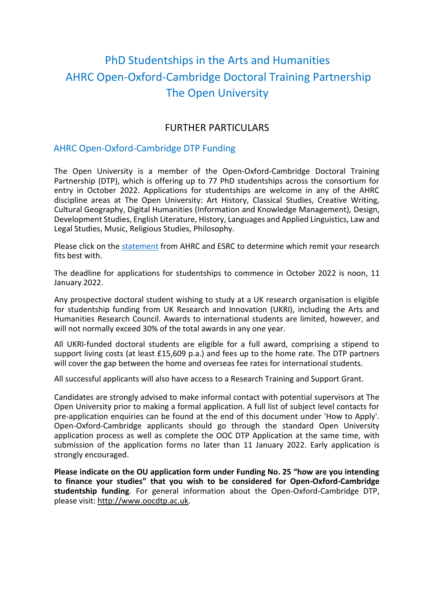# PhD Studentships in the Arts and Humanities AHRC Open-Oxford-Cambridge Doctoral Training Partnership The Open University

# FURTHER PARTICULARS

# AHRC Open-Oxford-Cambridge DTP Funding

The Open University is a member of the Open-Oxford-Cambridge Doctoral Training Partnership (DTP), which is offering up to 77 PhD studentships across the consortium for entry in October 2022. Applications for studentships are welcome in any of the AHRC discipline areas at The Open University: Art History, Classical Studies, Creative Writing, Cultural Geography, Digital Humanities (Information and Knowledge Management), Design, Development Studies, English Literature, History, Languages and Applied Linguistics, Law and Legal Studies, Music, Religious Studies, Philosophy.

Please click on the [statement](Joint%20AHRC-ESRC%20Statement%20on%20Subject%20Coverage%20-%20May%202019.pdf) from AHRC and ESRC to determine which remit your research fits hest with

The deadline for applications for studentships to commence in October 2022 is noon, 11 January 2022.

Any prospective doctoral student wishing to study at a UK research organisation is eligible for studentship funding from UK Research and Innovation (UKRI), including the Arts and Humanities Research Council. Awards to international students are limited, however, and will not normally exceed 30% of the total awards in any one year.

All UKRI-funded doctoral students are eligible for a full award, comprising a stipend to support living costs (at least £15,609 p.a.) and fees up to the home rate. The DTP partners will cover the gap between the home and overseas fee rates for international students.

All successful applicants will also have access to a Research Training and Support Grant.

Candidates are strongly advised to make informal contact with potential supervisors at The Open University prior to making a formal application. A full list of subject level contacts for pre-application enquiries can be found at the end of this document under 'How to Apply'. Open-Oxford-Cambridge applicants should go through the standard Open University application process as well as complete the OOC DTP Application at the same time, with submission of the application forms no later than 11 January 2022. Early application is strongly encouraged.

**Please indicate on the OU application form under Funding No. 25 "how are you intending to finance your studies" that you wish to be considered for Open-Oxford-Cambridge studentship funding**. For general information about the Open-Oxford-Cambridge DTP, please visit: http://www.oocdtp.ac.uk.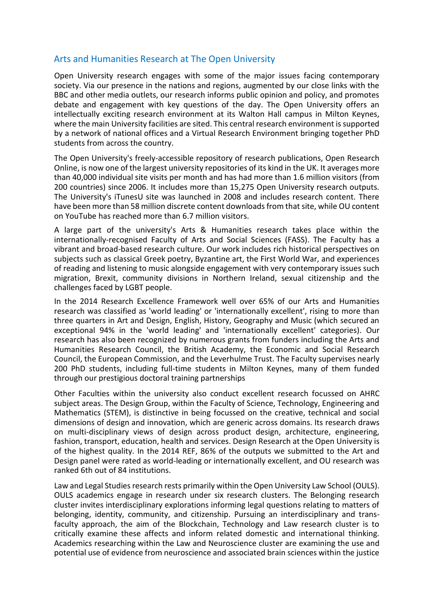## Arts and Humanities Research at The Open University

Open University research engages with some of the major issues facing contemporary society. Via our presence in the nations and regions, augmented by our close links with the BBC and other media outlets, our research informs public opinion and policy, and promotes debate and engagement with key questions of the day. The Open University offers an intellectually exciting research environment at its Walton Hall campus in Milton Keynes, where the main University facilities are sited. This central research environment is supported by a network of national offices and a Virtual Research Environment bringing together PhD students from across the country.

The Open University's freely-accessible repository of research publications, Open Research Online, is now one of the largest university repositories of its kind in the UK. It averages more than 40,000 individual site visits per month and has had more than 1.6 million visitors (from 200 countries) since 2006. It includes more than 15,275 Open University research outputs. The University's iTunesU site was launched in 2008 and includes research content. There have been more than 58 million discrete content downloads from that site, while OU content on YouTube has reached more than 6.7 million visitors.

A large part of the university's Arts & Humanities research takes place within the internationally-recognised Faculty of Arts and Social Sciences (FASS). The Faculty has a vibrant and broad-based research culture. Our work includes rich historical perspectives on subjects such as classical Greek poetry, Byzantine art, the First World War, and experiences of reading and listening to music alongside engagement with very contemporary issues such migration, Brexit, community divisions in Northern Ireland, sexual citizenship and the challenges faced by LGBT people.

In the 2014 Research Excellence Framework well over 65% of our Arts and Humanities research was classified as 'world leading' or 'internationally excellent', rising to more than three quarters in Art and Design, English, History, Geography and Music (which secured an exceptional 94% in the 'world leading' and 'internationally excellent' categories). Our research has also been recognized by numerous grants from funders including the Arts and Humanities Research Council, the British Academy, the Economic and Social Research Council, the European Commission, and the Leverhulme Trust. The Faculty supervises nearly 200 PhD students, including full-time students in Milton Keynes, many of them funded through our prestigious doctoral training partnerships

Other Faculties within the university also conduct excellent research focussed on AHRC subject areas. The Design Group, within the Faculty of Science, Technology, Engineering and Mathematics (STEM), is distinctive in being focussed on the creative, technical and social dimensions of design and innovation, which are generic across domains. Its research draws on multi-disciplinary views of design across product design, architecture, engineering, fashion, transport, education, health and services. Design Research at the Open University is of the highest quality. In the 2014 REF, 86% of the outputs we submitted to the Art and Design panel were rated as world-leading or internationally excellent, and OU research was ranked 6th out of 84 institutions.

Law and Legal Studies research rests primarily within the Open University Law School (OULS). OULS academics engage in research under six research clusters. The Belonging research cluster invites interdisciplinary explorations informing legal questions relating to matters of belonging, identity, community, and citizenship. Pursuing an interdisciplinary and transfaculty approach, the aim of the Blockchain, Technology and Law research cluster is to critically examine these affects and inform related domestic and international thinking. Academics researching within the Law and Neuroscience cluster are examining the use and potential use of evidence from neuroscience and associated brain sciences within the justice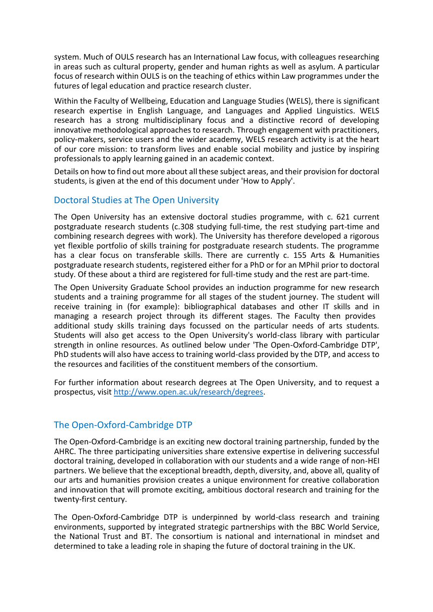system. Much of OULS research has an International Law focus, with colleagues researching in areas such as cultural property, gender and human rights as well as asylum. A particular focus of research within OULS is on the teaching of ethics within Law programmes under the futures of legal education and practice research cluster.

Within the Faculty of Wellbeing, Education and Language Studies (WELS), there is significant research expertise in English Language, and Languages and Applied Linguistics. WELS research has a strong multidisciplinary focus and a distinctive record of developing innovative methodological approaches to research. Through engagement with practitioners, policy-makers, service users and the wider academy, WELS research activity is at the heart of our core mission: to transform lives and enable social mobility and justice by inspiring professionals to apply learning gained in an academic context.

Details on how to find out more about all these subject areas, and their provision for doctoral students, is given at the end of this document under 'How to Apply'.

## Doctoral Studies at The Open University

The Open University has an extensive doctoral studies programme, with c. 621 current postgraduate research students (c.308 studying full-time, the rest studying part-time and combining research degrees with work). The University has therefore developed a rigorous yet flexible portfolio of skills training for postgraduate research students. The programme has a clear focus on transferable skills. There are currently c. 155 Arts & Humanities postgraduate research students, registered either for a PhD or for an MPhiI prior to doctoral study. Of these about a third are registered for full-time study and the rest are part-time.

The Open University Graduate School provides an induction programme for new research students and a training programme for all stages of the student journey. The student will receive training in (for example): bibliographical databases and other IT skills and in managing a research project through its different stages. The Faculty then provides additional study skills training days focussed on the particular needs of arts students. Students will also get access to the Open University's world-class library with particular strength in online resources. As outlined below under 'The Open-Oxford-Cambridge DTP', PhD students will also have access to training world-class provided by the DTP, and access to the resources and facilities of the constituent members of the consortium.

For further information about research degrees at The Open University, and to request a prospectus, visit [http://www.open.ac.uk/research/degrees.](http://www.open.ac.uk/research/degrees)

# The Open-Oxford-Cambridge DTP

The Open-Oxford-Cambridge is an exciting new doctoral training partnership, funded by the AHRC. The three participating universities share extensive expertise in delivering successful doctoral training, developed in collaboration with our students and a wide range of non-HEI partners. We believe that the exceptional breadth, depth, diversity, and, above all, quality of our arts and humanities provision creates a unique environment for creative collaboration and innovation that will promote exciting, ambitious doctoral research and training for the twenty-first century.

The Open-Oxford-Cambridge DTP is underpinned by world-class research and training environments, supported by integrated strategic partnerships with the BBC World Service, the National Trust and BT. The consortium is national and international in mindset and determined to take a leading role in shaping the future of doctoral training in the UK.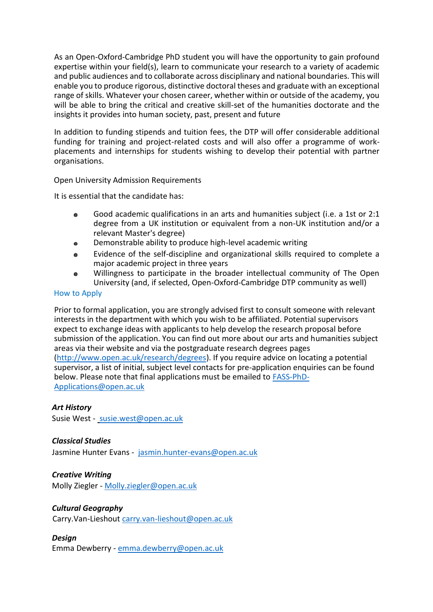As an Open-Oxford-Cambridge PhD student you will have the opportunity to gain profound expertise within your field(s), learn to communicate your research to a variety of academic and public audiences and to collaborate across disciplinary and national boundaries. This will enable you to produce rigorous, distinctive doctoral theses and graduate with an exceptional range of skills. Whatever your chosen career, whether within or outside of the academy, you will be able to bring the critical and creative skill-set of the humanities doctorate and the insights it provides into human society, past, present and future

In addition to funding stipends and tuition fees, the DTP will offer considerable additional funding for training and project-related costs and will also offer a programme of workplacements and internships for students wishing to develop their potential with partner organisations.

Open University Admission Requirements

It is essential that the candidate has:

- Good academic qualifications in an arts and humanities subject (i.e. a 1st or 2:1 degree from a UK institution or equivalent from a non-UK institution and/or a relevant Master's degree)
- Demonstrable ability to produce high-level academic writing
- Evidence of the self-discipline and organizational skills required to complete a  $\bullet$ major academic project in three years
- Willingness to participate in the broader intellectual community of The Open University (and, if selected, Open-Oxford-Cambridge DTP community as well)

#### How to Apply

Prior to formal application, you are strongly advised first to consult someone with relevant interests in the department with which you wish to be affiliated. Potential supervisors expect to exchange ideas with applicants to help develop the research proposal before submission of the application. You can find out more about our arts and humanities subject areas via their website and via the postgraduate research degrees pages [\(http://www.open.ac.uk/research/degrees\)](http://www.open.ac.uk/research/degrees). If you require advice on locating a potential supervisor, a list of initial, subject level contacts for pre-application enquiries can be found below. Please note that final applications must be emailed to [FASS-PhD-](mailto:FASS-PhD-Applications@open.ac.uk)[Applications@open.ac.uk](mailto:FASS-PhD-Applications@open.ac.uk)

### *Art History*

Susie West - [susie.west@open.ac.uk](mailto:susie.west@open.ac.uk)

### *Classical Studies*

Jasmine Hunter Evans - [jasmin.hunter-evans@open.ac.uk](mailto:jasmin.hunter-evans@open.ac.uk)

#### *Creative Writing* Molly Ziegler - [Molly.ziegler@open.ac.uk](mailto:Molly.ziegler@open.ac.uk)

### *Cultural Geography*

Carry.Van-Lieshout [carry.van-lieshout@open.ac.uk](mailto:carry.van-lieshout@open.ac.uk)

### *Design*

Emma Dewberry - [emma.dewberry@open.ac.uk](mailto:emma.dewberry@open.ac.uk)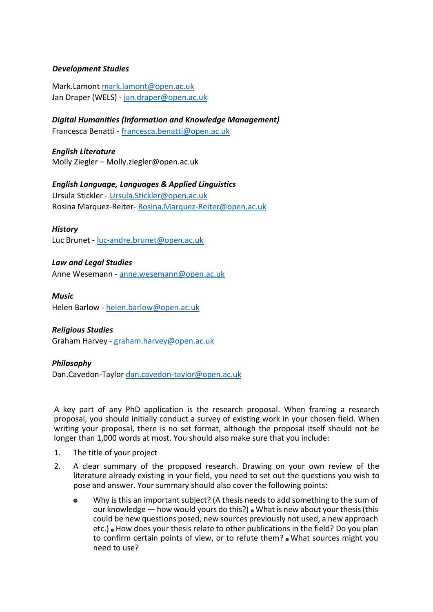## *Development Studies*

Mark.Lamont [mark.lamont@open.ac.uk](mailto:mark.lamont@open.ac.uk) Jan Draper (WELS) - [jan.draper@open.ac.uk](mailto:jan.draper@open.ac.uk)

*Digital Humanities (Information and Knowledge Management)* Francesca Benatti - [francesca.benatti@open.ac.uk](mailto:francesca.benatti@open.ac.uk)

*English Literature* Molly Ziegler – Molly.ziegler@open.ac.uk

### *English Language, Languages & Applied Linguistics*

Ursula Stickler - [Ursula.Stickler@open.ac.uk](mailto:Ursula.Stickler@open.ac.uk) Rosina Marquez-Reiter- [Rosina.Marquez-Reiter@open.ac.uk](mailto:Rosina.Marquez-Reiter@open.ac.uk)

### *History*

Luc Brunet - [luc-andre.brunet@open.ac.uk](mailto:luc-andre.brunet@open.ac.uk)

## *Law and Legal Studies*

Anne Wesemann - [anne.wesemann@open.ac.uk](mailto:anne.wesemann@open.ac.uk)

#### *Music*

Helen Barlow - [helen.barlow@open.ac.uk](mailto:helen.barlow@open.ac.uk)

## *Religious Studies*

Graham Harvey - [graham.harvey@open.ac.uk](mailto:graham.harvey@open.ac.uk)

### *Philosophy*

Dan.Cavedon-Taylor [dan.cavedon-taylor@open.ac.uk](mailto:dan.cavedon-taylor@open.ac.uk)

A key part of any PhD application is the research proposal. When framing a research proposal, you should initially conduct a survey of existing work in your chosen field. When writing your proposal, there is no set format, although the proposal itself should not be longer than 1,000 words at most. You should also make sure that you include:

- 1. The title of your project
- 2. A clear summary of the proposed research. Drawing on your own review of the literature already existing in your field, you need to set out the questions you wish to pose and answer. Your summary should also cover the following points:
	- Why is this an important subject? (A thesis needs to add something to the sum of our knowledge  $-$  how would yours do this?)  $\bullet$  What is new about your thesis (this could be new questions posed, new sources previously not used, a new approach etc.) • How does your thesis relate to other publications in the field? Do you plan to confirm certain points of view, or to refute them? What sources might you need to use?